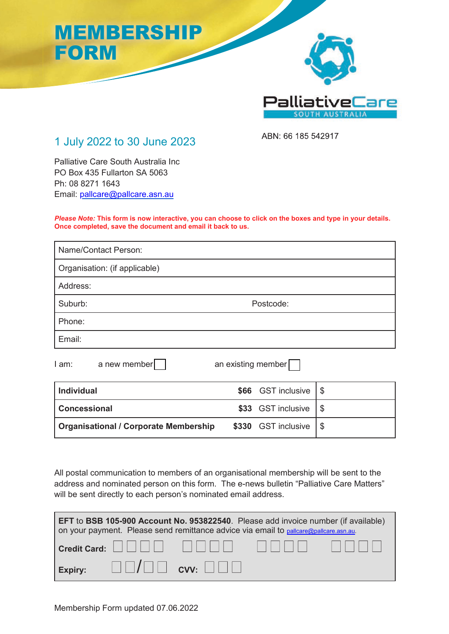

#### 1 July 2022 to 30 June 2023

ABN: 66 185 542917 66 185

Palliative Care South Australia Inc PO Box 435 Fullarton SA 5063 Ph: 08 8271 1643 Email: pallcare@pallcare.asn.au

*Please Note:* **This form is now interactive, you can choose to click on the boxes and type in your details. Once completed, save the document and email it back to us.**

| Postcode: |
|-----------|
|           |
|           |
|           |

 $I$  am: a new member an existing member

| <b>Individual</b>                            | $$66$ GST inclusive $ $ \$  |  |
|----------------------------------------------|-----------------------------|--|
| <b>Concessional</b>                          | $$33$ GST inclusive $ $ \$  |  |
| <b>Organisational / Corporate Membership</b> | $$330$ GST inclusive $ $ \$ |  |

All postal communication to members of an organisational membership will be sent to the address and nominated person on this form. The e-news bulletin "Palliative Care Matters" will be sent directly to each person's nominated email address.

| <b>EFT</b> to <b>BSB 105-900 Account No. 953822540</b> . Please add invoice number (if available)<br>on your payment. Please send remittance advice via email to pallcare@pallcare.asn.au.                                                                                                                                                                                          |  |  |  |  |
|-------------------------------------------------------------------------------------------------------------------------------------------------------------------------------------------------------------------------------------------------------------------------------------------------------------------------------------------------------------------------------------|--|--|--|--|
| $\mid$ Credit Card: $\left[\begin{array}{c c} \rule{0pt}{12pt} \rule{0pt}{12pt} \rule{0pt}{12pt} \rule{0pt}{12pt} \rule{0pt}{12pt} \rule{0pt}{12pt} \rule{0pt}{12pt} \rule{0pt}{12pt} \rule{0pt}{12pt} \rule{0pt}{12pt} \rule{0pt}{12pt} \rule{0pt}{12pt} \rule{0pt}{12pt} \rule{0pt}{12pt} \rule{0pt}{12pt} \rule{0pt}{12pt} \rule{0pt}{12pt} \rule{0pt}{12pt} \rule{0pt}{12pt} \$ |  |  |  |  |
| $\Box$ Expiry: $\Box$ $\Box$ $\Box$ CVV: $\Box$ $\Box$ $\Box$                                                                                                                                                                                                                                                                                                                       |  |  |  |  |